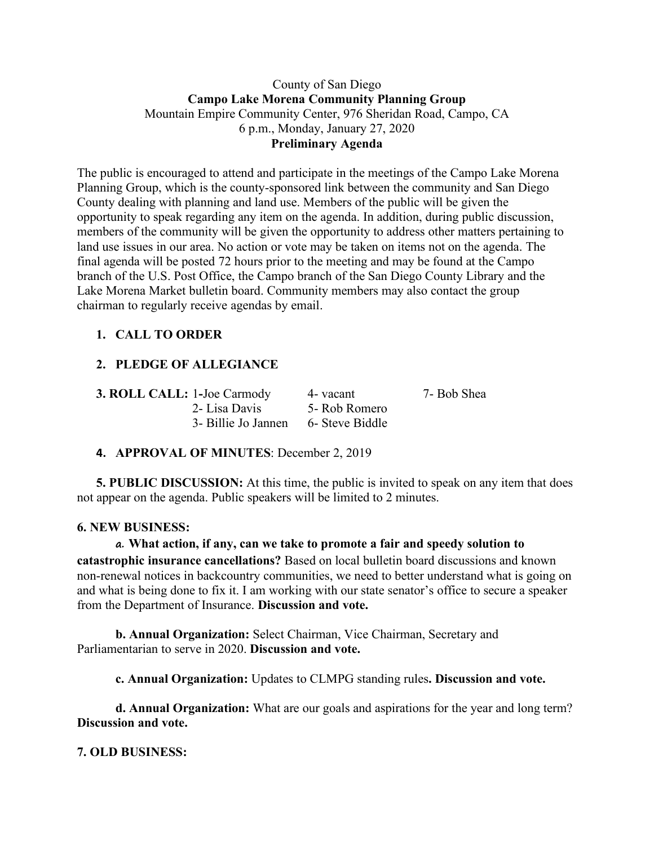### County of San Diego **Campo Lake Morena Community Planning Group** Mountain Empire Community Center, 976 Sheridan Road, Campo, CA 6 p.m., Monday, January 27, 2020 **Preliminary Agenda**

The public is encouraged to attend and participate in the meetings of the Campo Lake Morena Planning Group, which is the county-sponsored link between the community and San Diego County dealing with planning and land use. Members of the public will be given the opportunity to speak regarding any item on the agenda. In addition, during public discussion, members of the community will be given the opportunity to address other matters pertaining to land use issues in our area. No action or vote may be taken on items not on the agenda. The final agenda will be posted 72 hours prior to the meeting and may be found at the Campo branch of the U.S. Post Office, the Campo branch of the San Diego County Library and the Lake Morena Market bulletin board. Community members may also contact the group chairman to regularly receive agendas by email.

# **1. CALL TO ORDER**

# **2. PLEDGE OF ALLEGIANCE**

**3. ROLL CALL:** 1**-**Joe Carmody 4- vacant 7- Bob Shea 2- Lisa Davis 5- Rob Romero 3- Billie Jo Jannen 6- Steve Biddle

## **4. APPROVAL OF MINUTES**: December 2, 2019

**5. PUBLIC DISCUSSION:** At this time, the public is invited to speak on any item that does not appear on the agenda. Public speakers will be limited to 2 minutes.

#### **6. NEW BUSINESS:**

#### **a. What action, if any, can we take to promote a fair and speedy solution to**

**catastrophic insurance cancellations?** Based on local bulletin board discussions and known non-renewal notices in backcountry communities, we need to better understand what is going on and what is being done to fix it. I am working with our state senator's office to secure a speaker from the Department of Insurance. **Discussion and vote.**

**b. Annual Organization:** Select Chairman, Vice Chairman, Secretary and Parliamentarian to serve in 2020. **Discussion and vote.**

**c. Annual Organization:** Updates to CLMPG standing rules**. Discussion and vote.**

**d. Annual Organization:** What are our goals and aspirations for the year and long term? **Discussion and vote.**

## **7. OLD BUSINESS:**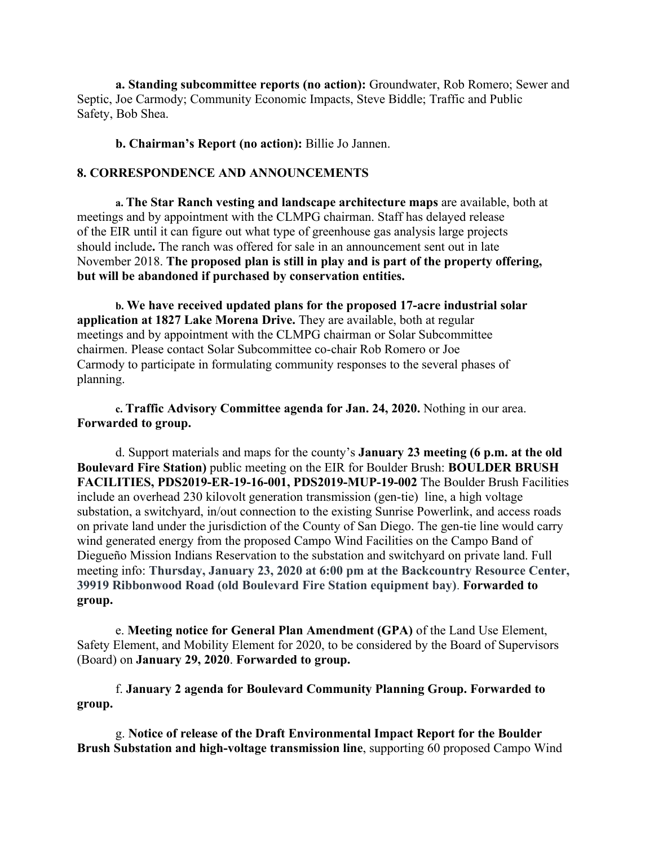**a. Standing subcommittee reports (no action):** Groundwater, Rob Romero; Sewer and Septic, Joe Carmody; Community Economic Impacts, Steve Biddle; Traffic and Public Safety, Bob Shea.

**b. Chairman's Report (no action):** Billie Jo Jannen.

#### **8. CORRESPONDENCE AND ANNOUNCEMENTS**

**a. The Star Ranch vesting and landscape architecture maps** are available, both at meetings and by appointment with the CLMPG chairman. Staff has delayed release of the EIR until it can figure out what type of greenhouse gas analysis large projects should include**.** The ranch was offered for sale in an announcement sent out in late November 2018. **The proposed plan is still in play and is part of the property offering, but will be abandoned if purchased by conservation entities.**

**b. We have received updated plans for the proposed 17-acre industrial solar application at 1827 Lake Morena Drive.** They are available, both at regular meetings and by appointment with the CLMPG chairman or Solar Subcommittee chairmen. Please contact Solar Subcommittee co-chair Rob Romero or Joe Carmody to participate in formulating community responses to the several phases of planning.

**c. Traffic Advisory Committee agenda for Jan. 24, 2020.** Nothing in our area. **Forwarded to group.**

d. Support materials and maps for the county's **January 23 meeting (6 p.m. at the old Boulevard Fire Station)** public meeting on the EIR for Boulder Brush: **BOULDER BRUSH FACILITIES, PDS2019-ER-19-16-001, PDS2019-MUP-19-002** The Boulder Brush Facilities include an overhead 230 kilovolt generation transmission (gen-tie) line, a high voltage substation, a switchyard, in/out connection to the existing Sunrise Powerlink, and access roads on private land under the jurisdiction of the County of San Diego. The gen-tie line would carry wind generated energy from the proposed Campo Wind Facilities on the Campo Band of Diegueño Mission Indians Reservation to the substation and switchyard on private land. Full meeting info: **Thursday, January 23, 2020 at 6:00 pm at the Backcountry Resource Center, 39919 Ribbonwood Road (old Boulevard Fire Station equipment bay)**. **Forwarded to group.**

e. **Meeting notice for General Plan Amendment (GPA)** of the Land Use Element, Safety Element, and Mobility Element for 2020, to be considered by the Board of Supervisors (Board) on **January 29, 2020**. **Forwarded to group.**

f. **January 2 agenda for Boulevard Community Planning Group. Forwarded to group.**

g. **Notice of release of the Draft Environmental Impact Report for the Boulder Brush Substation and high-voltage transmission line**, supporting 60 proposed Campo Wind